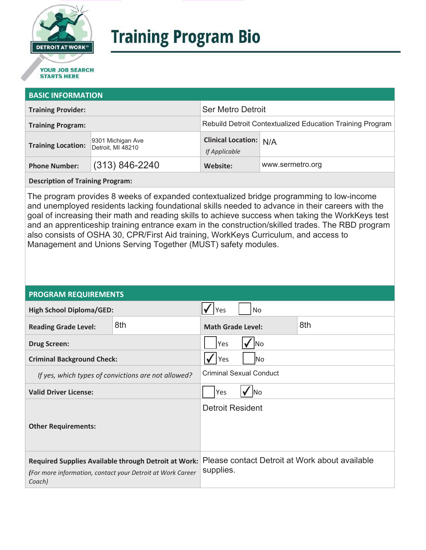

# **Training Program Bio**

## **STARTS HERE**

#### **BASIC INFORMATION**

| <b>Training Provider:</b> |                                        | <b>Ser Metro Detroit</b>                                  |                  |  |
|---------------------------|----------------------------------------|-----------------------------------------------------------|------------------|--|
| <b>Training Program:</b>  |                                        | Rebuild Detroit Contextualized Education Training Program |                  |  |
| <b>Training Location:</b> | 9301 Michigan Ave<br>Detroit, MI 48210 | <b>Clinical Location: N/A</b><br>If Applicable            |                  |  |
| <b>Phone Number:</b>      | $(313) 846 - 2240$                     | Website:                                                  | www.sermetro.org |  |

**Description of Training Program:** 

The program provides 8 weeks of expanded contextualized bridge programming to low-income and unemployed residents lacking foundational skills needed to advance in their careers with the goal of increasing their math and reading skills to achieve success when taking the WorkKeys test and an apprenticeship training entrance exam in the construction/skilled trades. The RBD program also consists of OSHA 30, CPR/First Aid training, WorkKeys Curriculum, and access to Management and Unions Serving Together (MUST) safety modules.

#### **PROGRAM REQUIREMENTS**

| <b>High School Diploma/GED:</b>                                                                                              |     | <b>No</b><br>Yes               |  |                                                |
|------------------------------------------------------------------------------------------------------------------------------|-----|--------------------------------|--|------------------------------------------------|
| <b>Reading Grade Level:</b>                                                                                                  | 8th | <b>Math Grade Level:</b>       |  | 8th                                            |
| <b>Drug Screen:</b>                                                                                                          |     | Yes<br>lNo                     |  |                                                |
| <b>Criminal Background Check:</b>                                                                                            |     | Yes<br>lNo.                    |  |                                                |
| If yes, which types of convictions are not allowed?                                                                          |     | <b>Criminal Sexual Conduct</b> |  |                                                |
| <b>Valid Driver License:</b>                                                                                                 |     | Yes<br><b>INo</b>              |  |                                                |
| <b>Other Requirements:</b>                                                                                                   |     | <b>Detroit Resident</b>        |  |                                                |
| Required Supplies Available through Detroit at Work:<br>(For more information, contact your Detroit at Work Career<br>Coach) |     | supplies.                      |  | Please contact Detroit at Work about available |